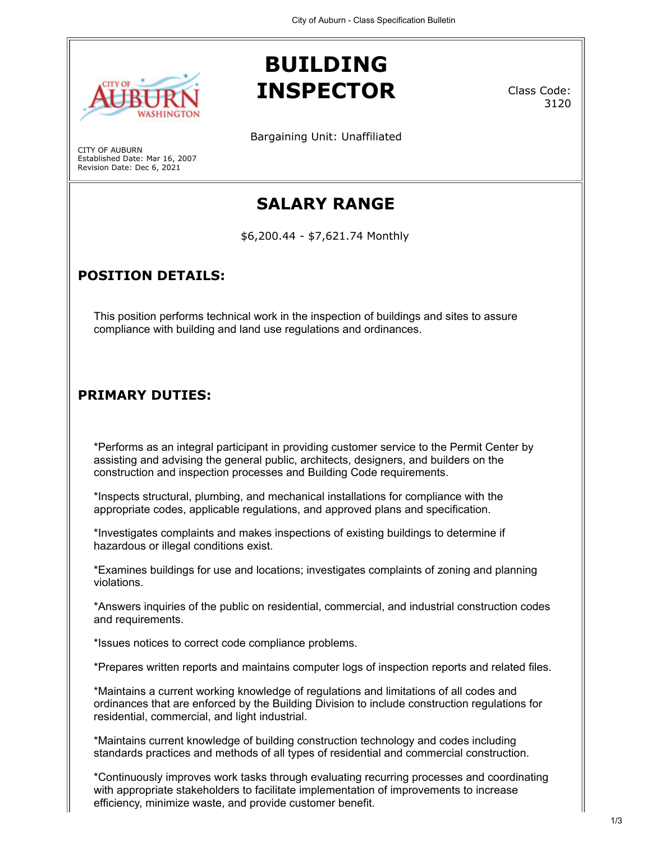

Established Date: Mar 16, 2007 Revision Date: Dec 6, 2021

CITY OF AUBURN

## **BUILDING INSPECTOR**

Class Code: 3120

Bargaining Unit: Unaffiliated

# **SALARY RANGE**

\$6,200.44 - \$7,621.74 Monthly

### **POSITION DETAILS:**

This position performs technical work in the inspection of buildings and sites to assure compliance with building and land use regulations and ordinances.

#### **PRIMARY DUTIES:**

\*Performs as an integral participant in providing customer service to the Permit Center by assisting and advising the general public, architects, designers, and builders on the construction and inspection processes and Building Code requirements.

\*Inspects structural, plumbing, and mechanical installations for compliance with the appropriate codes, applicable regulations, and approved plans and specification.

\*Investigates complaints and makes inspections of existing buildings to determine if hazardous or illegal conditions exist.

\*Examines buildings for use and locations; investigates complaints of zoning and planning violations.

\*Answers inquiries of the public on residential, commercial, and industrial construction codes and requirements.

\*Issues notices to correct code compliance problems.

\*Prepares written reports and maintains computer logs of inspection reports and related files.

\*Maintains a current working knowledge of regulations and limitations of all codes and ordinances that are enforced by the Building Division to include construction regulations for residential, commercial, and light industrial.

\*Maintains current knowledge of building construction technology and codes including standards practices and methods of all types of residential and commercial construction.

\*Continuously improves work tasks through evaluating recurring processes and coordinating with appropriate stakeholders to facilitate implementation of improvements to increase efficiency, minimize waste, and provide customer benefit.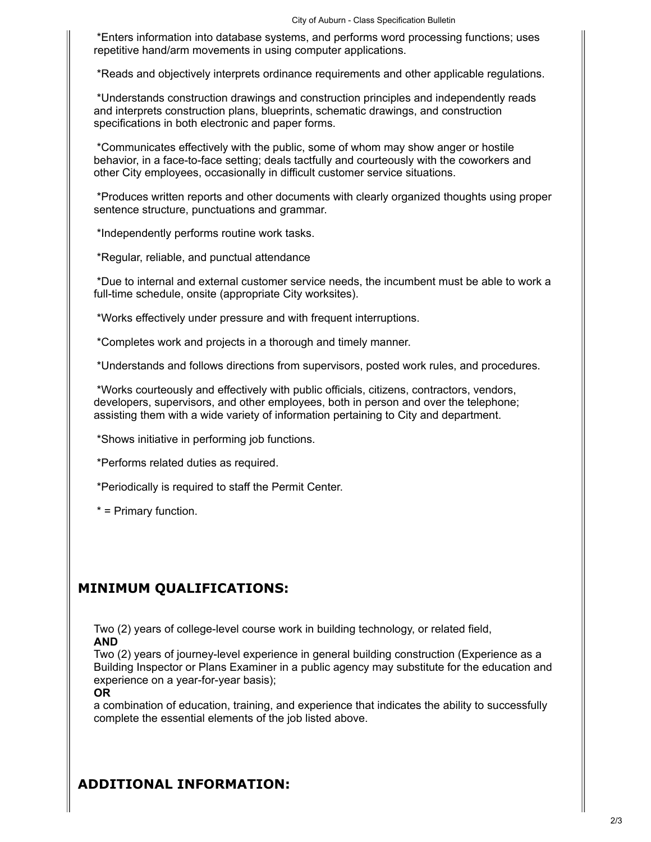\*Enters information into database systems, and performs word processing functions; uses repetitive hand/arm movements in using computer applications.

\*Reads and objectively interprets ordinance requirements and other applicable regulations.

\*Understands construction drawings and construction principles and independently reads and interprets construction plans, blueprints, schematic drawings, and construction specifications in both electronic and paper forms.

\*Communicates effectively with the public, some of whom may show anger or hostile behavior, in a face-to-face setting; deals tactfully and courteously with the coworkers and other City employees, occasionally in difficult customer service situations.

\*Produces written reports and other documents with clearly organized thoughts using proper sentence structure, punctuations and grammar.

\*Independently performs routine work tasks.

\*Regular, reliable, and punctual attendance

\*Due to internal and external customer service needs, the incumbent must be able to work a full-time schedule, onsite (appropriate City worksites).

\*Works effectively under pressure and with frequent interruptions.

\*Completes work and projects in a thorough and timely manner.

\*Understands and follows directions from supervisors, posted work rules, and procedures.

\*Works courteously and effectively with public officials, citizens, contractors, vendors, developers, supervisors, and other employees, both in person and over the telephone; assisting them with a wide variety of information pertaining to City and department.

\*Shows initiative in performing job functions.

\*Performs related duties as required.

\*Periodically is required to staff the Permit Center.

\* = Primary function.

#### **MINIMUM QUALIFICATIONS:**

Two (2) years of college-level course work in building technology, or related field, **AND**

Two (2) years of journey-level experience in general building construction (Experience as a Building Inspector or Plans Examiner in a public agency may substitute for the education and experience on a year-for-year basis);

#### **OR**

a combination of education, training, and experience that indicates the ability to successfully complete the essential elements of the job listed above.

#### **ADDITIONAL INFORMATION:**